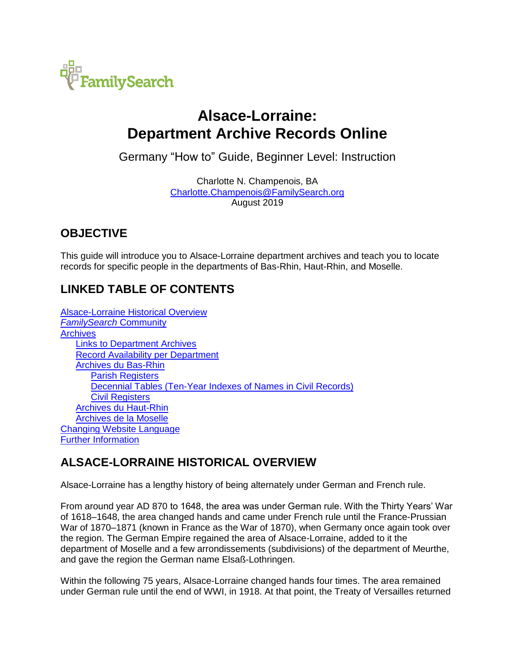

# **Alsace-Lorraine: Department Archive Records Online**

Germany "How to" Guide, Beginner Level: Instruction

Charlotte N. Champenois, BA [Charlotte.Champenois@FamilySearch.org](mailto:Charlotte.Champenois@FamilySearch.org) August 2019

# **OBJECTIVE**

This guide will introduce you to Alsace-Lorraine department archives and teach you to locate records for specific people in the departments of Bas-Rhin, Haut-Rhin, and Moselle.

# **LINKED TABLE OF CONTENTS**

[Alsace-Lorraine Historical Overview](#page-0-0) *[FamilySearch](#page-1-0)* Community **[Archives](#page-2-0)** [Links to Department Archives](#page-2-1) [Record Availability per Department](#page-3-0) [Archives du Bas-Rhin](#page-4-0) **[Parish Registers](#page-5-0)** [Decennial Tables \(Ten-Year Indexes of Names in Civil Records\)](#page-6-0) [Civil Registers](#page-6-1) [Archives du Haut-Rhin](#page-7-0) [Archives de la Moselle](#page-8-0) [Changing Website Language](#page-10-0) [Further Information](#page-11-0)

# <span id="page-0-0"></span>**ALSACE-LORRAINE HISTORICAL OVERVIEW**

Alsace-Lorraine has a lengthy history of being alternately under German and French rule.

From around year AD 870 to 1648, the area was under German rule. With the Thirty Years' War of 1618–1648, the area changed hands and came under French rule until the France-Prussian War of 1870–1871 (known in France as the War of 1870), when Germany once again took over the region. The German Empire regained the area of Alsace-Lorraine, added to it the department of Moselle and a few arrondissements (subdivisions) of the department of Meurthe, and gave the region the German name Elsaß-Lothringen.

Within the following 75 years, Alsace-Lorraine changed hands four times. The area remained under German rule until the end of WWI, in 1918. At that point, the Treaty of Versailles returned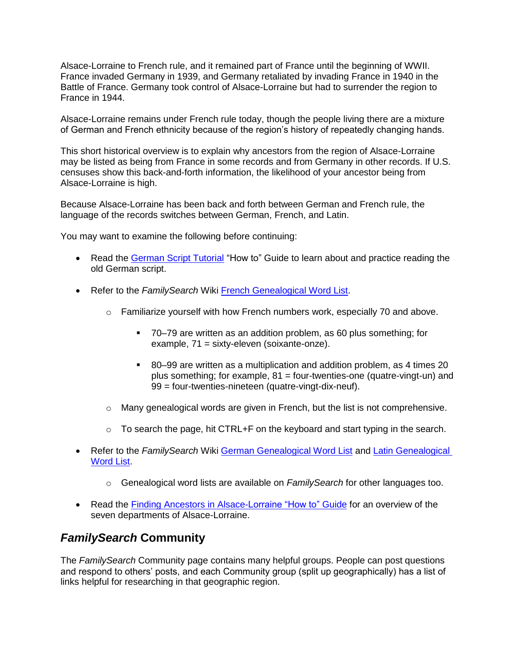Alsace-Lorraine to French rule, and it remained part of France until the beginning of WWII. France invaded Germany in 1939, and Germany retaliated by invading France in 1940 in the Battle of France. Germany took control of Alsace-Lorraine but had to surrender the region to France in 1944.

Alsace-Lorraine remains under French rule today, though the people living there are a mixture of German and French ethnicity because of the region's history of repeatedly changing hands.

This short historical overview is to explain why ancestors from the region of Alsace-Lorraine may be listed as being from France in some records and from Germany in other records. If U.S. censuses show this back-and-forth information, the likelihood of your ancestor being from Alsace-Lorraine is high.

Because Alsace-Lorraine has been back and forth between German and French rule, the language of the records switches between German, French, and Latin.

You may want to examine the following before continuing:

- Read the [German Script Tutorial](https://s3.amazonaws.com/ps-services-us-east-1-914248642252/s3/research-wiki-elasticsearch-prod-s3bucket/images/c/cf/1-German_Script-Instruction.pdf) "How to" Guide to learn about and practice reading the old German script.
- Refer to the *FamilySearch* Wiki [French Genealogical Word List.](https://www.familysearch.org/wiki/en/French_Genealogical_Word_List)
	- $\circ$  Familiarize yourself with how French numbers work, especially 70 and above.
		- 70–79 are written as an addition problem, as 60 plus something; for example, 71 = sixty-eleven (soixante-onze).
		- 80–99 are written as a multiplication and addition problem, as 4 times 20 plus something; for example, 81 = four-twenties-one (quatre-vingt-un) and 99 = four-twenties-nineteen (quatre-vingt-dix-neuf).
	- $\circ$  Many genealogical words are given in French, but the list is not comprehensive.
	- $\circ$  To search the page, hit CTRL+F on the keyboard and start typing in the search.
- Refer to the *FamilySearch* Wiki [German Genealogical Word List](https://www.familysearch.org/wiki/en/German_Genealogical_Word_List) and [Latin Genealogical](https://www.familysearch.org/wiki/en/Latin_Genealogical_Word_List)  [Word List.](https://www.familysearch.org/wiki/en/Latin_Genealogical_Word_List)
	- o Genealogical word lists are available on *FamilySearch* for other languages too.
- Read the [Finding Ancestors in Alsace-Lorraine "How to" Guide](https://www.familysearch.org/wiki/en/img_auth.php/a/aa/Research_in_the_former_Alsace-Lorraine.pdf) for an overview of the seven departments of Alsace-Lorraine.

### <span id="page-1-0"></span>*FamilySearch* **Community**

The *FamilySearch* Community page contains many helpful groups. People can post questions and respond to others' posts, and each Community group (split up geographically) has a list of links helpful for researching in that geographic region.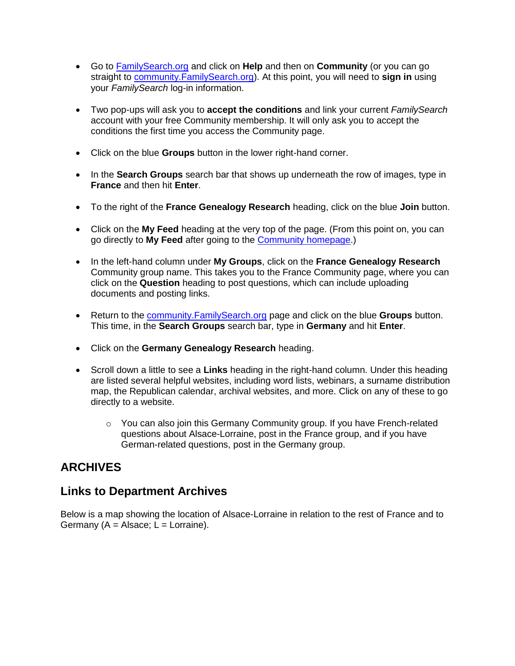- Go to [FamilySearch.org](http://www.familysearch.org/) and click on **Help** and then on **Community** (or you can go straight to [community.FamilySearch.org\)](https://community.familysearch.org/). At this point, you will need to **sign in** using your *FamilySearch* log-in information.
- Two pop-ups will ask you to **accept the conditions** and link your current *FamilySearch*  account with your free Community membership. It will only ask you to accept the conditions the first time you access the Community page.
- Click on the blue **Groups** button in the lower right-hand corner.
- In the **Search Groups** search bar that shows up underneath the row of images, type in **France** and then hit **Enter**.
- To the right of the **France Genealogy Research** heading, click on the blue **Join** button.
- Click on the **My Feed** heading at the very top of the page. (From this point on, you can go directly to **My Feed** after going to the [Community homepage.](https://community.familysearch.org/))
- In the left-hand column under **My Groups**, click on the **France Genealogy Research**  Community group name. This takes you to the France Community page, where you can click on the **Question** heading to post questions, which can include uploading documents and posting links.
- Return to the [community.FamilySearch.org](https://community.familysearch.org/) page and click on the blue **Groups** button. This time, in the **Search Groups** search bar, type in **Germany** and hit **Enter**.
- Click on the **Germany Genealogy Research** heading.
- Scroll down a little to see a **Links** heading in the right-hand column. Under this heading are listed several helpful websites, including word lists, webinars, a surname distribution map, the Republican calendar, archival websites, and more. Click on any of these to go directly to a website.
	- $\circ$  You can also join this Germany Community group. If you have French-related questions about Alsace-Lorraine, post in the France group, and if you have German-related questions, post in the Germany group.

# <span id="page-2-0"></span>**ARCHIVES**

#### <span id="page-2-1"></span>**Links to Department Archives**

Below is a map showing the location of Alsace-Lorraine in relation to the rest of France and to Germany ( $A =$  Alsace;  $\overline{L} =$  Lorraine).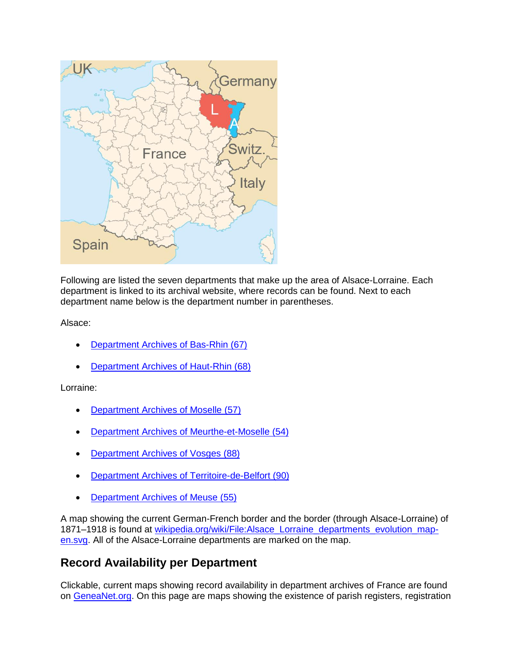

Following are listed the seven departments that make up the area of Alsace-Lorraine. Each department is linked to its archival website, where records can be found. Next to each department name below is the department number in parentheses.

Alsace:

- [Department Archives of Bas-Rhin](http://archives.bas-rhin.fr/registres-paroissiaux-et-documents-d-etat-civil/) (67)
- [Department Archives of Haut-Rhin](http://www.archives.haut-rhin.fr/search?preset=44&view=list) (68)

#### Lorraine:

- [Department Archives of Moselle](http://www.archives57.com/index.php/recherches/archives-en-ligne/registres-paroissiaux) (57)
- [Department Archives of Meurthe-et-Moselle](http://archivesenligne.archives.cg54.fr/s/1/etat-civil/?) (54)
- [Department Archives of Vosges](http://archives.vosges.fr/recherche-en-ligne/base-de-donnees-et-images-numerisees) (88)
- [Department Archives of Territoire-de-Belfort](http://www.archives.territoiredebelfort.fr/?id=etat_civil) (90)
- [Department Archives of Meuse \(55\)](http://archives.meuse.fr/search?preset=35&view=list)

A map showing the current German-French border and the border (through Alsace-Lorraine) of 1871–1918 is found at wikipedia.org/wiki/File:Alsace Lorraine departments evolution map[en.svg.](https://en.wikipedia.org/wiki/File:Alsace_Lorraine_departments_evolution_map-en.svg) All of the Alsace-Lorraine departments are marked on the map.

### <span id="page-3-0"></span>**Record Availability per Department**

Clickable, current maps showing record availability in department archives of France are found on [GeneaNet.org.](https://www.geneanet.org/explore/beginners/post/archives-departementales-ligne/?lang=fr) On this page are maps showing the existence of parish registers, registration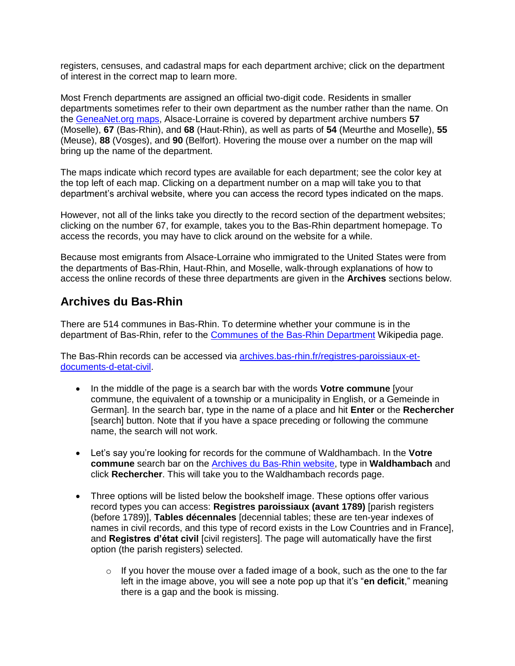registers, censuses, and cadastral maps for each department archive; click on the department of interest in the correct map to learn more.

Most French departments are assigned an official two-digit code. Residents in smaller departments sometimes refer to their own department as the number rather than the name. On the [GeneaNet.org maps,](https://www.geneanet.org/explore/beginners/post/archives-departementales-ligne/?lang=fr) Alsace-Lorraine is covered by department archive numbers **57** (Moselle), **67** (Bas-Rhin), and **68** (Haut-Rhin), as well as parts of **54** (Meurthe and Moselle), **55** (Meuse), **88** (Vosges), and **90** (Belfort). Hovering the mouse over a number on the map will bring up the name of the department.

The maps indicate which record types are available for each department; see the color key at the top left of each map. Clicking on a department number on a map will take you to that department's archival website, where you can access the record types indicated on the maps.

However, not all of the links take you directly to the record section of the department websites; clicking on the number 67, for example, takes you to the Bas-Rhin department homepage. To access the records, you may have to click around on the website for a while.

Because most emigrants from Alsace-Lorraine who immigrated to the United States were from the departments of Bas-Rhin, Haut-Rhin, and Moselle, walk-through explanations of how to access the online records of these three departments are given in the **Archives** sections below.

## <span id="page-4-0"></span>**Archives du Bas-Rhin**

There are 514 communes in Bas-Rhin. To determine whether your commune is in the department of Bas-Rhin, refer to the [Communes of the Bas-Rhin Department](https://en.wikipedia.org/wiki/Communes_of_the_Bas-Rhin_department) Wikipedia page.

The Bas-Rhin records can be accessed via **[archives.bas-rhin.fr/registres-paroissiaux-et](http://archives.bas-rhin.fr/registres-paroissiaux-et-documents-d-etat-civil/)**[documents-d-etat-civil.](http://archives.bas-rhin.fr/registres-paroissiaux-et-documents-d-etat-civil/)

- In the middle of the page is a search bar with the words **Votre commune** [your commune, the equivalent of a township or a municipality in English, or a Gemeinde in German]. In the search bar, type in the name of a place and hit **Enter** or the **Rechercher**  [search] button. Note that if you have a space preceding or following the commune name, the search will not work.
- Let's say you're looking for records for the commune of Waldhambach. In the **Votre commune** search bar on the [Archives du Bas-Rhin website,](http://archives.bas-rhin.fr/registres-paroissiaux-et-documents-d-etat-civil/) type in **Waldhambach** and click **Rechercher**. This will take you to the Waldhambach records page.
- Three options will be listed below the bookshelf image. These options offer various record types you can access: **Registres paroissiaux (avant 1789)** [parish registers (before 1789)], **Tables décennales** [decennial tables; these are ten-year indexes of names in civil records, and this type of record exists in the Low Countries and in France], and **Registres d'état civil** [civil registers]. The page will automatically have the first option (the parish registers) selected.
	- $\circ$  If you hover the mouse over a faded image of a book, such as the one to the far left in the image above, you will see a note pop up that it's "**en deficit**," meaning there is a gap and the book is missing.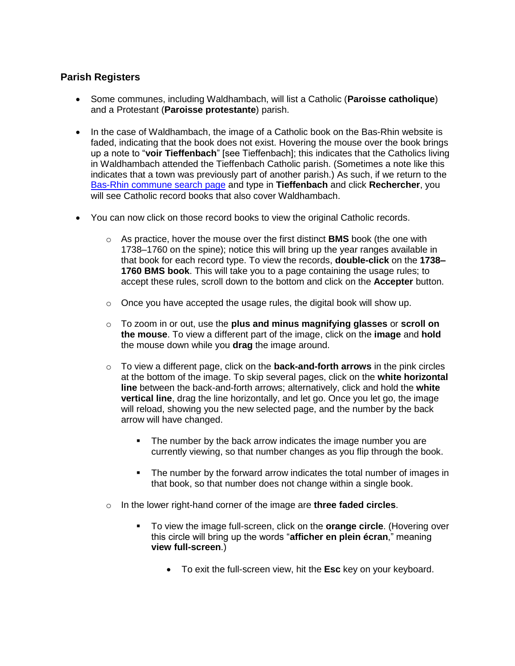#### <span id="page-5-0"></span>**Parish Registers**

- Some communes, including Waldhambach, will list a Catholic (**Paroisse catholique**) and a Protestant (**Paroisse protestante**) parish.
- In the case of Waldhambach, the image of a Catholic book on the Bas-Rhin website is faded, indicating that the book does not exist. Hovering the mouse over the book brings up a note to "**voir Tieffenbach**" [see Tieffenbach]; this indicates that the Catholics living in Waldhambach attended the Tieffenbach Catholic parish. (Sometimes a note like this indicates that a town was previously part of another parish.) As such, if we return to the [Bas-Rhin commune search page](http://archives.bas-rhin.fr/registres-paroissiaux-et-documents-d-etat-civil/) and type in **Tieffenbach** and click **Rechercher**, you will see Catholic record books that also cover Waldhambach.
- You can now click on those record books to view the original Catholic records.
	- o As practice, hover the mouse over the first distinct **BMS** book (the one with 1738–1760 on the spine); notice this will bring up the year ranges available in that book for each record type. To view the records, **double-click** on the **1738– 1760 BMS book**. This will take you to a page containing the usage rules; to accept these rules, scroll down to the bottom and click on the **Accepter** button.
	- o Once you have accepted the usage rules, the digital book will show up.
	- o To zoom in or out, use the **plus and minus magnifying glasses** or **scroll on the mouse**. To view a different part of the image, click on the **image** and **hold** the mouse down while you **drag** the image around.
	- o To view a different page, click on the **back-and-forth arrows** in the pink circles at the bottom of the image. To skip several pages, click on the **white horizontal line** between the back-and-forth arrows; alternatively, click and hold the **white vertical line**, drag the line horizontally, and let go. Once you let go, the image will reload, showing you the new selected page, and the number by the back arrow will have changed.
		- The number by the back arrow indicates the image number you are currently viewing, so that number changes as you flip through the book.
		- The number by the forward arrow indicates the total number of images in that book, so that number does not change within a single book.
	- o In the lower right-hand corner of the image are **three faded circles**.
		- To view the image full-screen, click on the **orange circle**. (Hovering over this circle will bring up the words "**afficher en plein écran**," meaning **view full-screen**.)
			- To exit the full-screen view, hit the **Esc** key on your keyboard.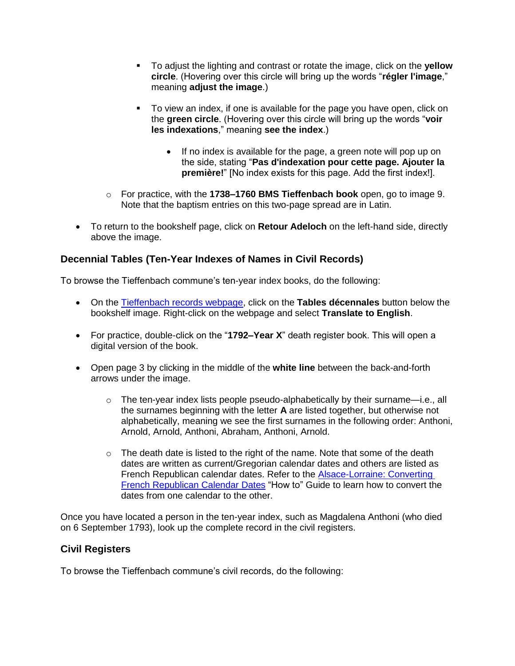- To adjust the lighting and contrast or rotate the image, click on the **yellow circle**. (Hovering over this circle will bring up the words "**régler l'image**," meaning **adjust the image**.)
- To view an index, if one is available for the page you have open, click on the **green circle**. (Hovering over this circle will bring up the words "**voir les indexations**," meaning **see the index**.)
	- If no index is available for the page, a green note will pop up on the side, stating "**Pas d'indexation pour cette page. Ajouter la première!**" [No index exists for this page. Add the first index!].
- o For practice, with the **1738–1760 BMS Tieffenbach book** open, go to image 9. Note that the baptism entries on this two-page spread are in Latin.
- To return to the bookshelf page, click on **Retour Adeloch** on the left-hand side, directly above the image.

#### <span id="page-6-0"></span>**Decennial Tables (Ten-Year Indexes of Names in Civil Records)**

To browse the Tieffenbach commune's ten-year index books, do the following:

- On the [Tieffenbach records webpage,](http://archives.bas-rhin.fr/registres-paroissiaux-et-documents-d-etat-civil/ETAT-CIVIL-C487#search-results) click on the **Tables décennales** button below the bookshelf image. Right-click on the webpage and select **Translate to English**.
- For practice, double-click on the "**1792–Year X**" death register book. This will open a digital version of the book.
- Open page 3 by clicking in the middle of the **white line** between the back-and-forth arrows under the image.
	- $\circ$  The ten-year index lists people pseudo-alphabetically by their surname—i.e., all the surnames beginning with the letter **A** are listed together, but otherwise not alphabetically, meaning we see the first surnames in the following order: Anthoni, Arnold, Arnold, Anthoni, Abraham, Anthoni, Arnold.
	- $\circ$  The death date is listed to the right of the name. Note that some of the death dates are written as current/Gregorian calendar dates and others are listed as French Republican calendar dates. Refer to the [Alsace-Lorraine:](https://www.familysearch.org/wiki/en/img_auth.php/d/d7/Alsace-Lorraine%2C_Converting_French_Republican_Calendar_Dates_-_instruction.pdf) Converting [French Republican Calendar Dates](https://www.familysearch.org/wiki/en/img_auth.php/d/d7/Alsace-Lorraine%2C_Converting_French_Republican_Calendar_Dates_-_instruction.pdf) "How to" Guide to learn how to convert the dates from one calendar to the other.

Once you have located a person in the ten-year index, such as Magdalena Anthoni (who died on 6 September 1793), look up the complete record in the civil registers.

#### <span id="page-6-1"></span>**Civil Registers**

To browse the Tieffenbach commune's civil records, do the following: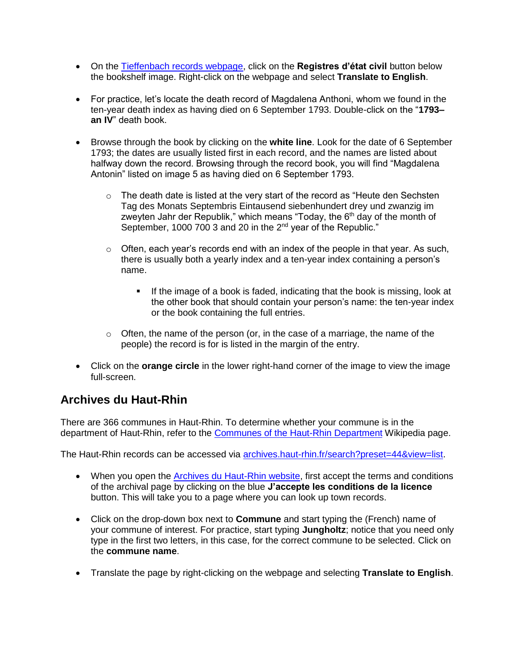- On the [Tieffenbach records webpage,](http://archives.bas-rhin.fr/registres-paroissiaux-et-documents-d-etat-civil/ETAT-CIVIL-C487#search-results) click on the **Registres d'état civil** button below the bookshelf image. Right-click on the webpage and select **Translate to English**.
- For practice, let's locate the death record of Magdalena Anthoni, whom we found in the ten-year death index as having died on 6 September 1793. Double-click on the "**1793– an IV**" death book.
- Browse through the book by clicking on the **white line**. Look for the date of 6 September 1793; the dates are usually listed first in each record, and the names are listed about halfway down the record. Browsing through the record book, you will find "Magdalena Antonin" listed on image 5 as having died on 6 September 1793.
	- $\circ$  The death date is listed at the very start of the record as "Heute den Sechsten Tag des Monats Septembris Eintausend siebenhundert drey und zwanzig im zweyten Jahr der Republik," which means "Today, the  $6<sup>th</sup>$  day of the month of September, 1000 700 3 and 20 in the 2<sup>nd</sup> year of the Republic."
	- $\circ$  Often, each year's records end with an index of the people in that year. As such, there is usually both a yearly index and a ten-year index containing a person's name.
		- **If the image of a book is faded, indicating that the book is missing, look at** the other book that should contain your person's name: the ten-year index or the book containing the full entries.
	- $\circ$  Often, the name of the person (or, in the case of a marriage, the name of the people) the record is for is listed in the margin of the entry.
- Click on the **orange circle** in the lower right-hand corner of the image to view the image full-screen.

# <span id="page-7-0"></span>**Archives du Haut-Rhin**

There are 366 communes in Haut-Rhin. To determine whether your commune is in the department of Haut-Rhin, refer to the [Communes of the Haut-Rhin Department](https://en.wikipedia.org/wiki/Communes_of_the_Haut-Rhin_department) Wikipedia page.

The Haut-Rhin records can be accessed via [archives.haut-rhin.fr/search?preset=44&view=list.](http://www.archives.haut-rhin.fr/search?preset=44&view=list)

- When you open the **Archives du Haut-Rhin website**, first accept the terms and conditions of the archival page by clicking on the blue **J'accepte les conditions de la licence** button. This will take you to a page where you can look up town records.
- Click on the drop-down box next to **Commune** and start typing the (French) name of your commune of interest. For practice, start typing **Jungholtz**; notice that you need only type in the first two letters, in this case, for the correct commune to be selected. Click on the **commune name**.
- Translate the page by right-clicking on the webpage and selecting **Translate to English**.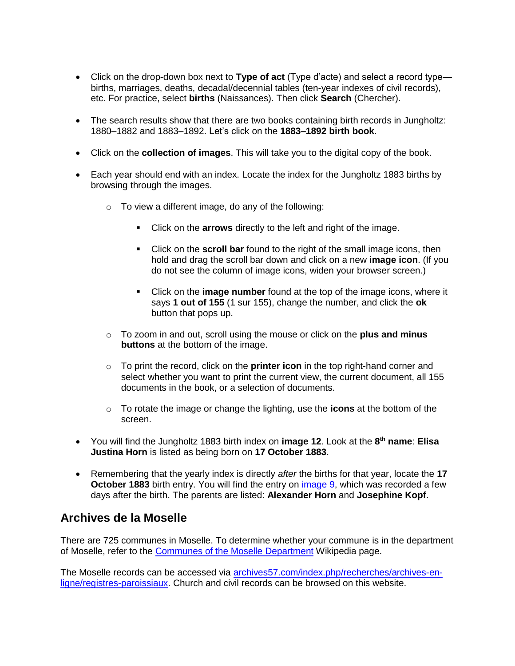- Click on the drop-down box next to **Type of act** (Type d'acte) and select a record type births, marriages, deaths, decadal/decennial tables (ten-year indexes of civil records), etc. For practice, select **births** (Naissances). Then click **Search** (Chercher).
- The search results show that there are two books containing birth records in Jungholtz: 1880–1882 and 1883–1892. Let's click on the **1883–1892 birth book**.
- Click on the **collection of images**. This will take you to the digital copy of the book.
- Each year should end with an index. Locate the index for the Jungholtz 1883 births by browsing through the images.
	- $\circ$  To view a different image, do any of the following:
		- Click on the **arrows** directly to the left and right of the image.
		- Click on the **scroll bar** found to the right of the small image icons, then hold and drag the scroll bar down and click on a new **image icon**. (If you do not see the column of image icons, widen your browser screen.)
		- Click on the **image number** found at the top of the image icons, where it says **1 out of 155** (1 sur 155), change the number, and click the **ok**  button that pops up.
	- o To zoom in and out, scroll using the mouse or click on the **plus and minus buttons** at the bottom of the image.
	- o To print the record, click on the **printer icon** in the top right-hand corner and select whether you want to print the current view, the current document, all 155 documents in the book, or a selection of documents.
	- o To rotate the image or change the lighting, use the **icons** at the bottom of the screen.
- You will find the Jungholtz 1883 birth index on **image 12**. Look at the **8 th name**: **Elisa Justina Horn** is listed as being born on **17 October 1883**.
- Remembering that the yearly index is directly *after* the births for that year, locate the **17 October 1883** birth entry. You will find the entry on [image 9,](http://www.archives.haut-rhin.fr/search/result#viewer_watch:a0114558032169eZJZU/fc9d9b70be) which was recorded a few days after the birth. The parents are listed: **Alexander Horn** and **Josephine Kopf**.

#### <span id="page-8-0"></span>**Archives de la Moselle**

There are 725 communes in Moselle. To determine whether your commune is in the department of Moselle, refer to the [Communes of the Moselle Department](https://en.wikipedia.org/wiki/Communes_of_the_Moselle_department) Wikipedia page.

The Moselle records can be accessed via [archives57.com/index.php/recherches/archives-en](http://www.archives57.com/index.php/recherches/archives-en-ligne/registres-paroissiaux)[ligne/registres-paroissiaux.](http://www.archives57.com/index.php/recherches/archives-en-ligne/registres-paroissiaux) Church and civil records can be browsed on this website.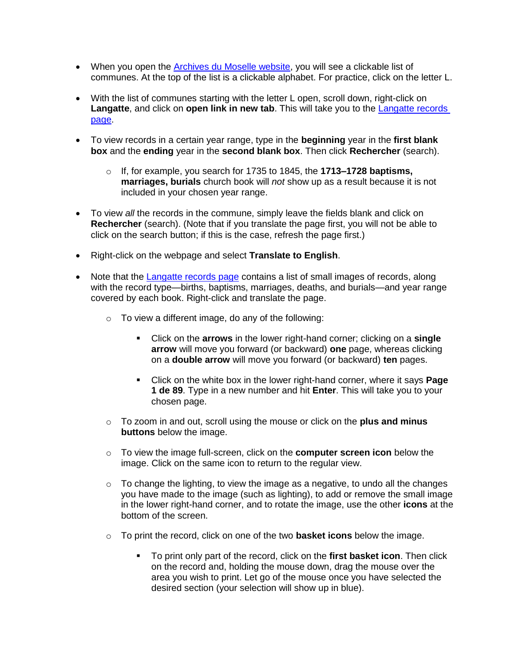- When you open the **Archives du Moselle website**, you will see a clickable list of communes. At the top of the list is a clickable alphabet. For practice, click on the letter L.
- With the list of communes starting with the letter L open, scroll down, right-click on **Langatte**, and click on **open link in new tab**. This will take you to the [Langatte records](http://www.archivesnumerisees57.com/visualiseur/index.php/rechercheTheme/requeteConstructor/1/2/A/0/0) [page.](http://www.archivesnumerisees57.com/visualiseur/index.php/rechercheTheme/requeteConstructor/1/2/A/0/0)
- To view records in a certain year range, type in the **beginning** year in the **first blank box** and the **ending** year in the **second blank box**. Then click **Rechercher** (search).
	- o If, for example, you search for 1735 to 1845, the **1713–1728 baptisms, marriages, burials** church book will *not* show up as a result because it is not included in your chosen year range.
- To view *all* the records in the commune, simply leave the fields blank and click on **Rechercher** (search). (Note that if you translate the page first, you will not be able to click on the search button; if this is the case, refresh the page first.)
- Right-click on the webpage and select **Translate to English**.
- Note that the [Langatte records page](http://www.archivesnumerisees57.com/visualiseur/index.php/rechercheTheme/requeteConstructor/1/2/A/0/0) contains a list of small images of records, along with the record type—births, baptisms, marriages, deaths, and burials—and year range covered by each book. Right-click and translate the page.
	- o To view a different image, do any of the following:
		- Click on the **arrows** in the lower right-hand corner; clicking on a **single arrow** will move you forward (or backward) **one** page, whereas clicking on a **double arrow** will move you forward (or backward) **ten** pages.
		- Click on the white box in the lower right-hand corner, where it says **Page 1 de 89**. Type in a new number and hit **Enter**. This will take you to your chosen page.
	- o To zoom in and out, scroll using the mouse or click on the **plus and minus buttons** below the image.
	- o To view the image full-screen, click on the **computer screen icon** below the image. Click on the same icon to return to the regular view.
	- $\circ$  To change the lighting, to view the image as a negative, to undo all the changes you have made to the image (such as lighting), to add or remove the small image in the lower right-hand corner, and to rotate the image, use the other **icons** at the bottom of the screen.
	- o To print the record, click on one of the two **basket icons** below the image.
		- To print only part of the record, click on the **first basket icon**. Then click on the record and, holding the mouse down, drag the mouse over the area you wish to print. Let go of the mouse once you have selected the desired section (your selection will show up in blue).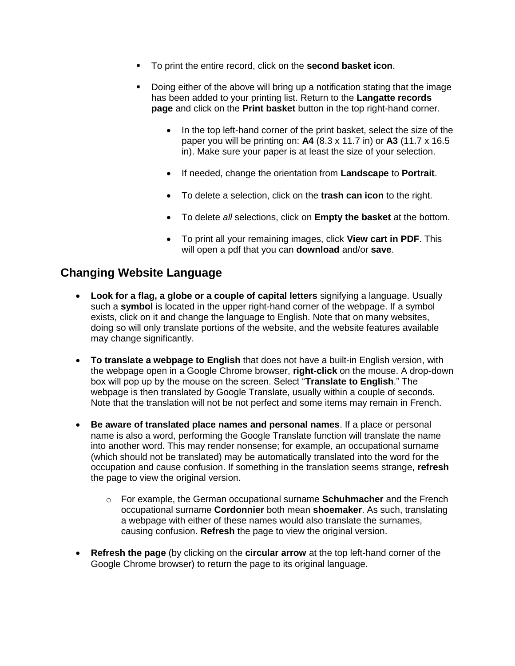- To print the entire record, click on the **second basket icon**.
- Doing either of the above will bring up a notification stating that the image has been added to your printing list. Return to the **Langatte records page** and click on the **Print basket** button in the top right-hand corner.
	- In the top left-hand corner of the print basket, select the size of the paper you will be printing on: **A4** (8.3 x 11.7 in) or **A3** (11.7 x 16.5 in). Make sure your paper is at least the size of your selection.
	- If needed, change the orientation from **Landscape** to **Portrait**.
	- To delete a selection, click on the **trash can icon** to the right.
	- To delete *all* selections, click on **Empty the basket** at the bottom.
	- To print all your remaining images, click **View cart in PDF**. This will open a pdf that you can **download** and/or **save**.

### <span id="page-10-0"></span>**Changing Website Language**

- **Look for a flag, a globe or a couple of capital letters** signifying a language. Usually such a **symbol** is located in the upper right-hand corner of the webpage. If a symbol exists, click on it and change the language to English. Note that on many websites, doing so will only translate portions of the website, and the website features available may change significantly.
- **To translate a webpage to English** that does not have a built-in English version, with the webpage open in a Google Chrome browser, **right-click** on the mouse. A drop-down box will pop up by the mouse on the screen. Select "**Translate to English**." The webpage is then translated by Google Translate, usually within a couple of seconds. Note that the translation will not be not perfect and some items may remain in French.
- **Be aware of translated place names and personal names**. If a place or personal name is also a word, performing the Google Translate function will translate the name into another word. This may render nonsense; for example, an occupational surname (which should not be translated) may be automatically translated into the word for the occupation and cause confusion. If something in the translation seems strange, **refresh** the page to view the original version.
	- o For example, the German occupational surname **Schuhmacher** and the French occupational surname **Cordonnier** both mean **shoemaker**. As such, translating a webpage with either of these names would also translate the surnames, causing confusion. **Refresh** the page to view the original version.
- **Refresh the page** (by clicking on the **circular arrow** at the top left-hand corner of the Google Chrome browser) to return the page to its original language.